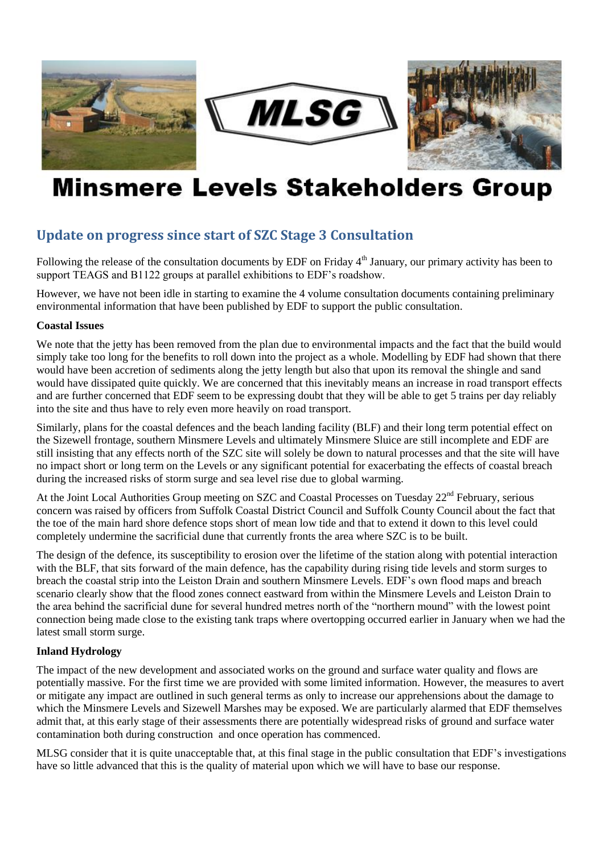





# **Minsmere Levels Stakeholders Group**

# **Update on progress since start of SZC Stage 3 Consultation**

Following the release of the consultation documents by EDF on Friday  $4<sup>th</sup>$  January, our primary activity has been to support TEAGS and B1122 groups at parallel exhibitions to EDF's roadshow.

However, we have not been idle in starting to examine the 4 volume consultation documents containing preliminary environmental information that have been published by EDF to support the public consultation.

#### **Coastal Issues**

We note that the jetty has been removed from the plan due to environmental impacts and the fact that the build would simply take too long for the benefits to roll down into the project as a whole. Modelling by EDF had shown that there would have been accretion of sediments along the jetty length but also that upon its removal the shingle and sand would have dissipated quite quickly. We are concerned that this inevitably means an increase in road transport effects and are further concerned that EDF seem to be expressing doubt that they will be able to get 5 trains per day reliably into the site and thus have to rely even more heavily on road transport.

Similarly, plans for the coastal defences and the beach landing facility (BLF) and their long term potential effect on the Sizewell frontage, southern Minsmere Levels and ultimately Minsmere Sluice are still incomplete and EDF are still insisting that any effects north of the SZC site will solely be down to natural processes and that the site will have no impact short or long term on the Levels or any significant potential for exacerbating the effects of coastal breach during the increased risks of storm surge and sea level rise due to global warming.

At the Joint Local Authorities Group meeting on SZC and Coastal Processes on Tuesday 22<sup>nd</sup> February, serious concern was raised by officers from Suffolk Coastal District Council and Suffolk County Council about the fact that the toe of the main hard shore defence stops short of mean low tide and that to extend it down to this level could completely undermine the sacrificial dune that currently fronts the area where SZC is to be built.

The design of the defence, its susceptibility to erosion over the lifetime of the station along with potential interaction with the BLF, that sits forward of the main defence, has the capability during rising tide levels and storm surges to breach the coastal strip into the Leiston Drain and southern Minsmere Levels. EDF's own flood maps and breach scenario clearly show that the flood zones connect eastward from within the Minsmere Levels and Leiston Drain to the area behind the sacrificial dune for several hundred metres north of the "northern mound" with the lowest point connection being made close to the existing tank traps where overtopping occurred earlier in January when we had the latest small storm surge.

## **Inland Hydrology**

The impact of the new development and associated works on the ground and surface water quality and flows are potentially massive. For the first time we are provided with some limited information. However, the measures to avert or mitigate any impact are outlined in such general terms as only to increase our apprehensions about the damage to which the Minsmere Levels and Sizewell Marshes may be exposed. We are particularly alarmed that EDF themselves admit that, at this early stage of their assessments there are potentially widespread risks of ground and surface water contamination both during construction and once operation has commenced.

MLSG consider that it is quite unacceptable that, at this final stage in the public consultation that EDF's investigations have so little advanced that this is the quality of material upon which we will have to base our response.